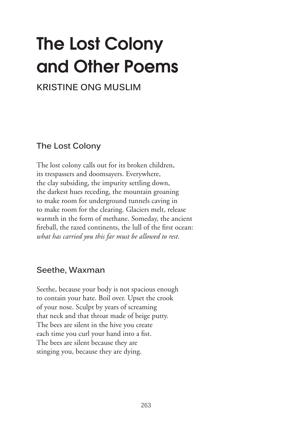# The Lost Colony and Other Poems

## **KRISTINE ONG MUSLIM**

**The Lost Colony**

The lost colony calls out for its broken children, its trespassers and doomsayers. Everywhere, the clay subsiding, the impurity settling down, the darkest hues receding, the mountain groaning to make room for underground tunnels caving in to make room for the clearing. Glaciers melt, release warmth in the form of methane. Someday, the ancient fireball, the razed continents, the lull of the first ocean: *what has carried you this far must be allowed to rest*.

#### **Seethe, Waxman**

Seethe, because your body is not spacious enough to contain your hate. Boil over. Upset the crook of your nose. Sculpt by years of screaming that neck and that throat made of beige putty. The bees are silent in the hive you create each time you curl your hand into a fist. The bees are silent because they are stinging you, because they are dying.